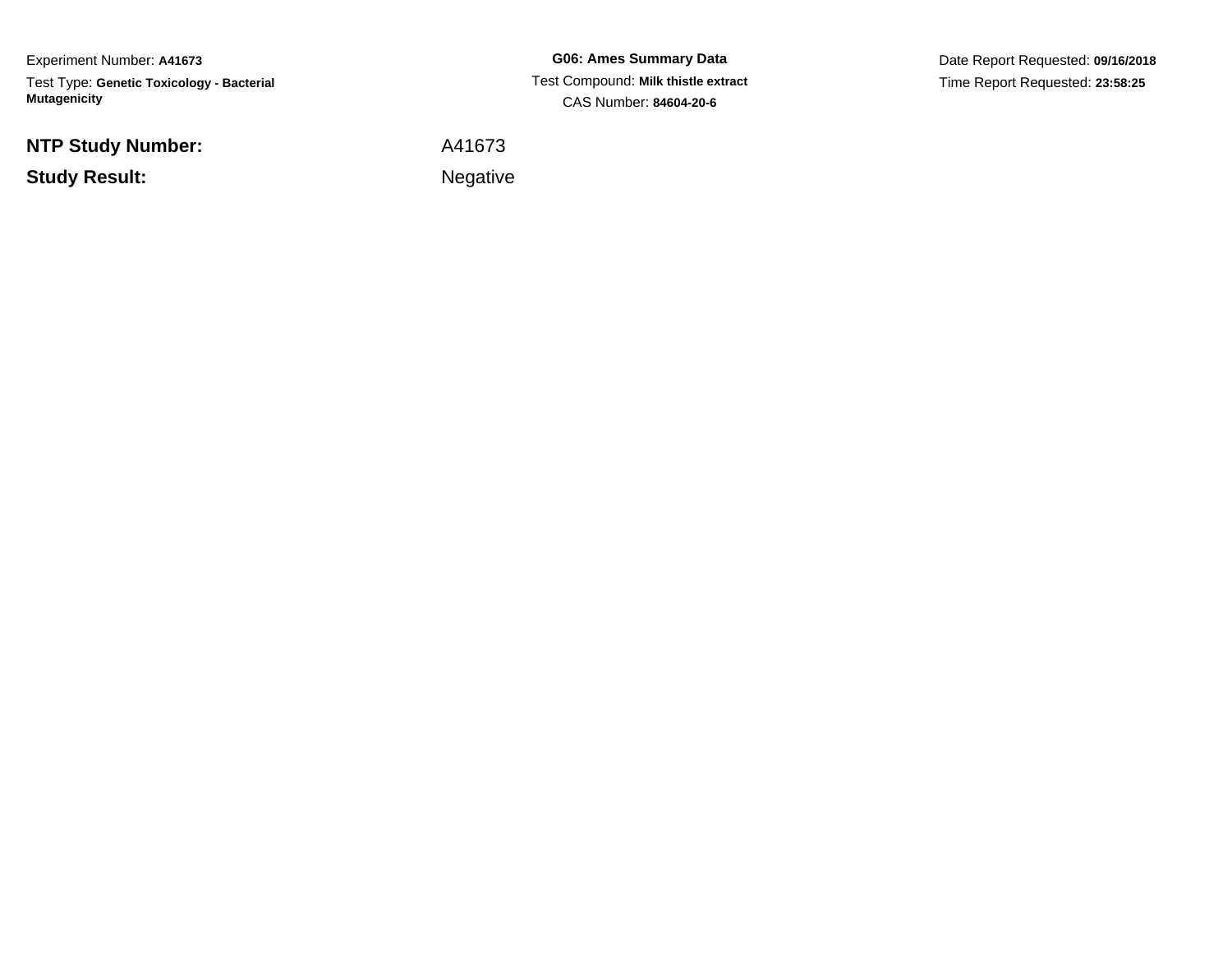Experiment Number: **A41673**Test Type: **Genetic Toxicology - Bacterial Mutagenicity**

**NTP Study Number:**

**Study Result:**

**G06: Ames Summary Data** Test Compound: **Milk thistle extract**CAS Number: **84604-20-6**

Date Report Requested: **09/16/2018**Time Report Requested: **23:58:25**

A41673

**Example 2** is the contract of the Negative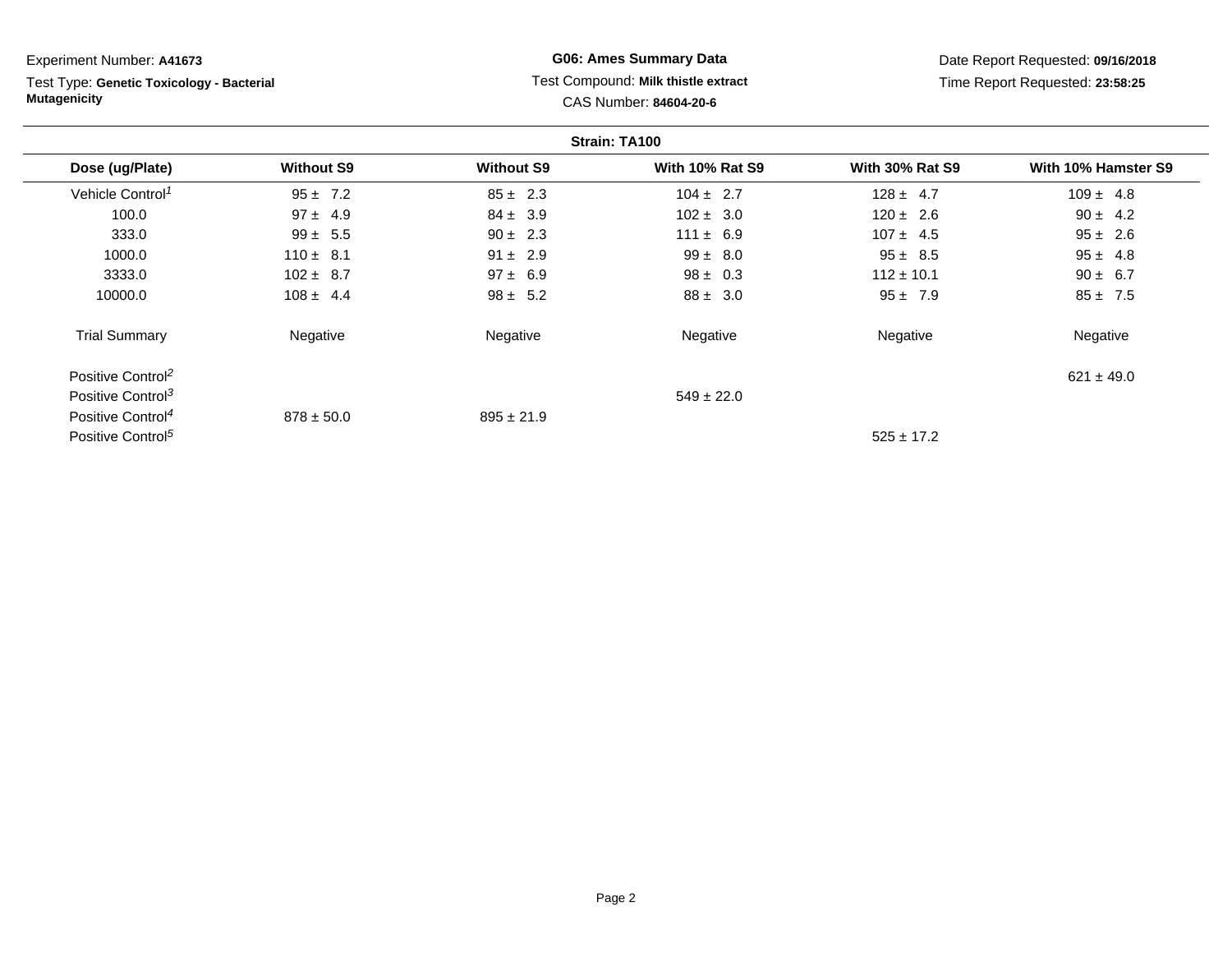| Experiment Number: A41673                                        |                   |                   | <b>G06: Ames Summary Data</b>                                 |                        | Date Report Requested: 09/16/2018 |
|------------------------------------------------------------------|-------------------|-------------------|---------------------------------------------------------------|------------------------|-----------------------------------|
| Test Type: Genetic Toxicology - Bacterial<br><b>Mutagenicity</b> |                   |                   | Test Compound: Milk thistle extract<br>CAS Number: 84604-20-6 |                        | Time Report Requested: 23:58:25   |
|                                                                  |                   |                   | Strain: TA100                                                 |                        |                                   |
| Dose (ug/Plate)                                                  | <b>Without S9</b> | <b>Without S9</b> | <b>With 10% Rat S9</b>                                        | <b>With 30% Rat S9</b> | With 10% Hamster S9               |
| Vehicle Control <sup>1</sup>                                     | $95 \pm 7.2$      | $85 \pm 2.3$      | $104 \pm 2.7$                                                 | $128 \pm 4.7$          | $109 \pm 4.8$                     |
| 100.0                                                            | $97 \pm 4.9$      | $84 \pm 3.9$      | $102 \pm 3.0$                                                 | $120 \pm 2.6$          | $90 \pm 4.2$                      |
| 333.0                                                            | $99 \pm 5.5$      | $90 \pm 2.3$      | $111 \pm 6.9$                                                 | $107 \pm 4.5$          | $95 \pm 2.6$                      |
| 1000.0                                                           | $110 \pm 8.1$     | $91 \pm 2.9$      | $99 \pm 8.0$                                                  | $95 \pm 8.5$           | $95 \pm 4.8$                      |
| 3333.0                                                           | $102 \pm 8.7$     | $97 \pm 6.9$      | $98 \pm 0.3$                                                  | $112 \pm 10.1$         | $90 \pm 6.7$                      |
| 10000.0                                                          | $108 \pm 4.4$     | $98 \pm 5.2$      | $88 \pm 3.0$                                                  | $95 \pm 7.9$           | $85 \pm 7.5$                      |
| <b>Trial Summary</b>                                             | Negative          | Negative          | Negative                                                      | Negative               | Negative                          |
| Positive Control <sup>2</sup>                                    |                   |                   |                                                               |                        | $621 \pm 49.0$                    |
| Positive Control <sup>3</sup>                                    |                   |                   | $549 \pm 22.0$                                                |                        |                                   |
| Positive Control <sup>4</sup>                                    | $878 \pm 50.0$    | $895 \pm 21.9$    |                                                               |                        |                                   |

Positive Control<sup>5</sup>

 $525 \pm 17.2$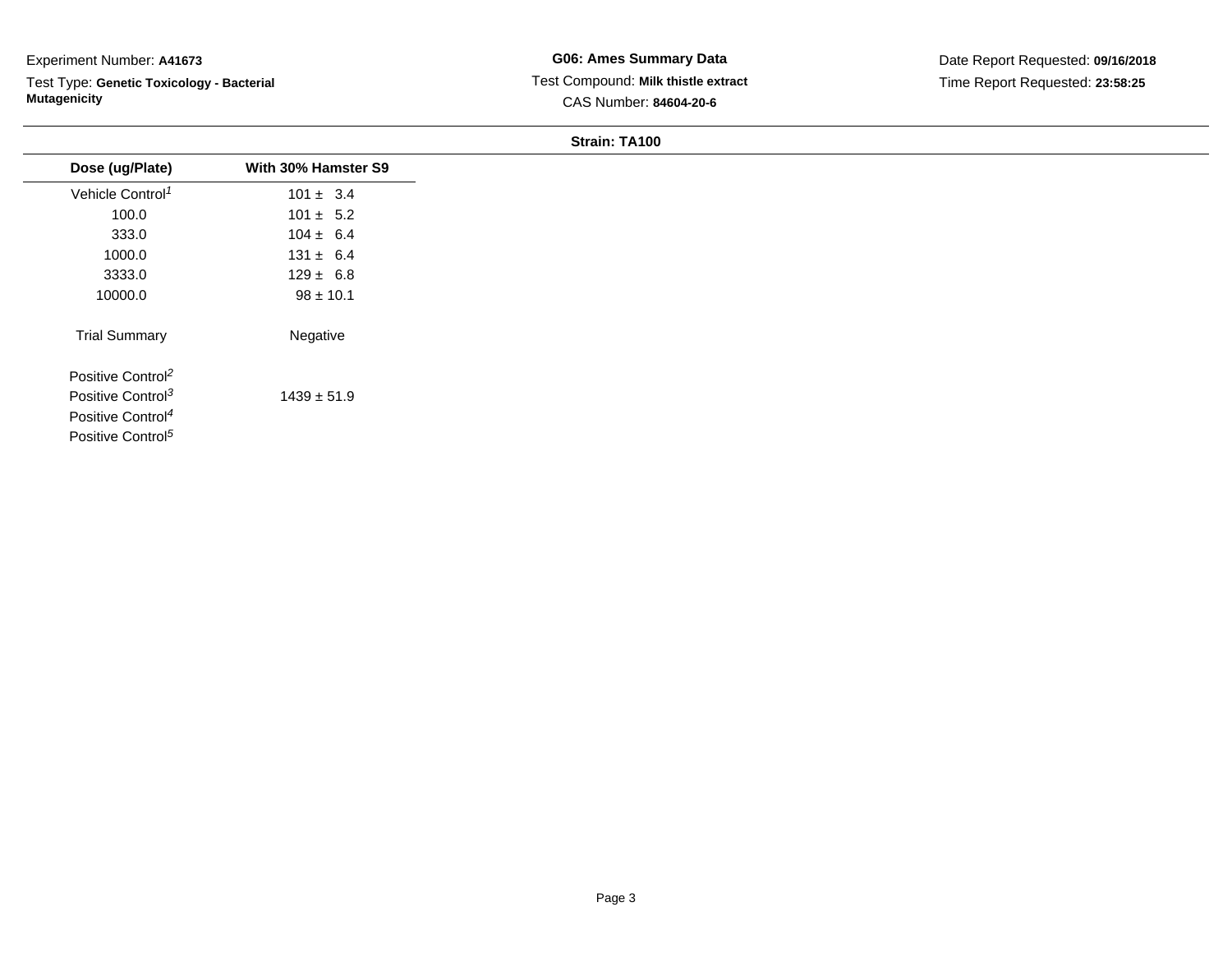Test Type: **Genetic Toxicology - Bacterial Mutagenicity**

| Dose (ug/Plate)               | With 30% Hamster S9 |
|-------------------------------|---------------------|
| Vehicle Control <sup>1</sup>  | $101 \pm 3.4$       |
| 100.0                         | $101 \pm 5.2$       |
| 333.0                         | $104 \pm 6.4$       |
| 1000.0                        | $131 \pm 6.4$       |
| 3333.0                        | $129 \pm 6.8$       |
| 10000.0                       | $98 \pm 10.1$       |
| <b>Trial Summary</b>          | Negative            |
| Positive Control <sup>2</sup> |                     |
| Positive Control <sup>3</sup> | $1439 \pm 51.9$     |
| Positive Control <sup>4</sup> |                     |
| Positive Control <sup>5</sup> |                     |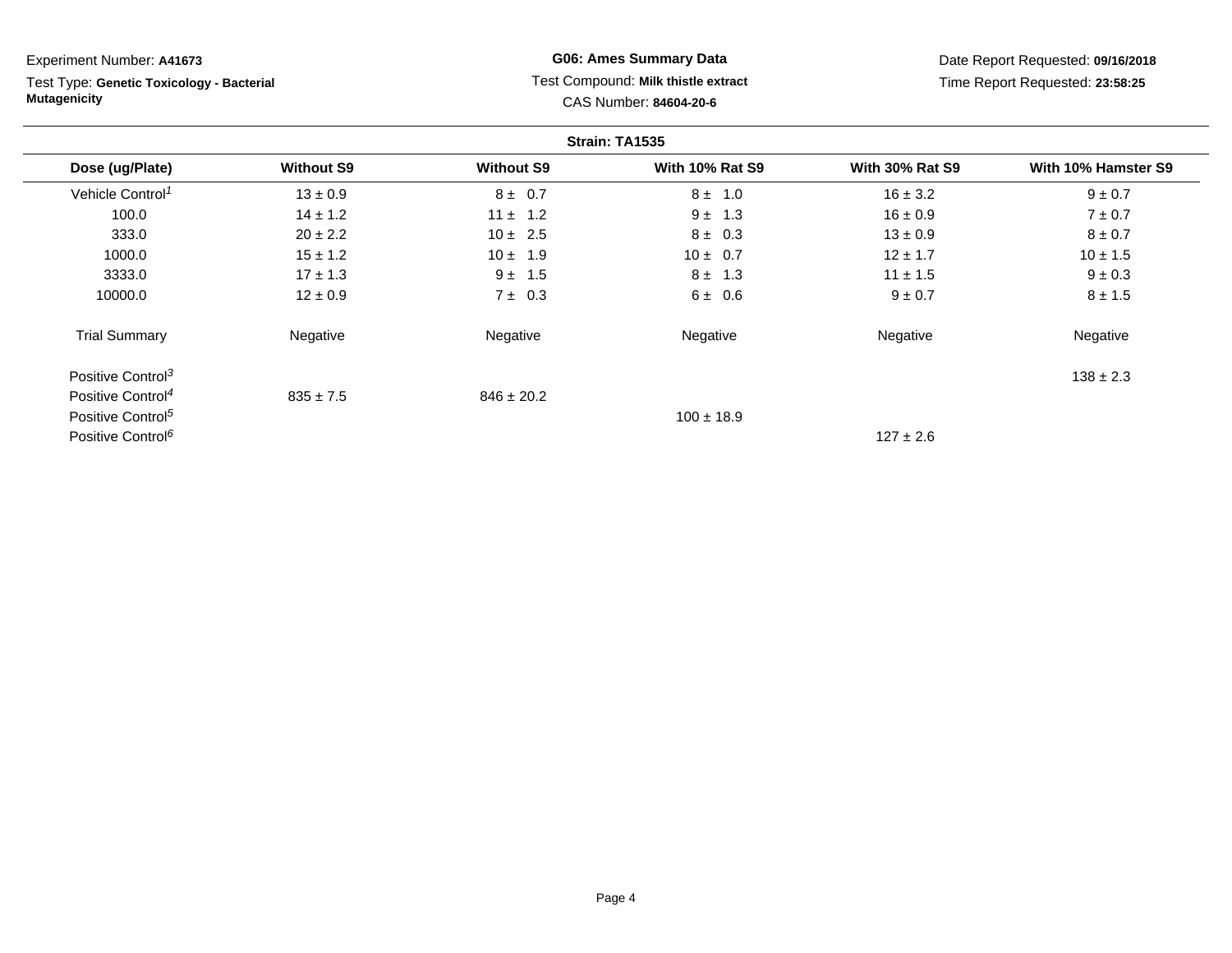Test Type: **Genetic Toxicology - Bacterial Mutagenicity**

**G06: Ames Summary Data** Test Compound: **Milk thistle extract**CAS Number: **84604-20-6**

Date Report Requested: **09/16/2018**Time Report Requested: **23:58:25**

|                               |                   |                   | Strain: TA1535         |                        |                     |
|-------------------------------|-------------------|-------------------|------------------------|------------------------|---------------------|
| Dose (ug/Plate)               | <b>Without S9</b> | <b>Without S9</b> | <b>With 10% Rat S9</b> | <b>With 30% Rat S9</b> | With 10% Hamster S9 |
| Vehicle Control <sup>1</sup>  | $13 \pm 0.9$      | $8 \pm 0.7$       | $8 \pm 1.0$            | $16 \pm 3.2$           | $9 \pm 0.7$         |
| 100.0                         | $14 \pm 1.2$      | $11 \pm 1.2$      | $9 \pm 1.3$            | $16 \pm 0.9$           | $7 \pm 0.7$         |
| 333.0                         | $20 \pm 2.2$      | $10 \pm 2.5$      | $8 \pm 0.3$            | $13 \pm 0.9$           | $8 \pm 0.7$         |
| 1000.0                        | $15 \pm 1.2$      | $10 \pm 1.9$      | $10 \pm 0.7$           | $12 \pm 1.7$           | $10 \pm 1.5$        |
| 3333.0                        | $17 \pm 1.3$      | $9 \pm 1.5$       | $8 \pm 1.3$            | $11 \pm 1.5$           | $9 \pm 0.3$         |
| 10000.0                       | $12 \pm 0.9$      | $7 \pm 0.3$       | 6 ± 0.6                | $9 \pm 0.7$            | $8 \pm 1.5$         |
| <b>Trial Summary</b>          | Negative          | Negative          | Negative               | Negative               | Negative            |
| Positive Control <sup>3</sup> |                   |                   |                        |                        | $138 \pm 2.3$       |
| Positive Control <sup>4</sup> | $835 \pm 7.5$     | $846 \pm 20.2$    |                        |                        |                     |
| Positive Control <sup>5</sup> |                   |                   | $100 \pm 18.9$         |                        |                     |
| Positive Control <sup>6</sup> |                   |                   |                        | $127 \pm 2.6$          |                     |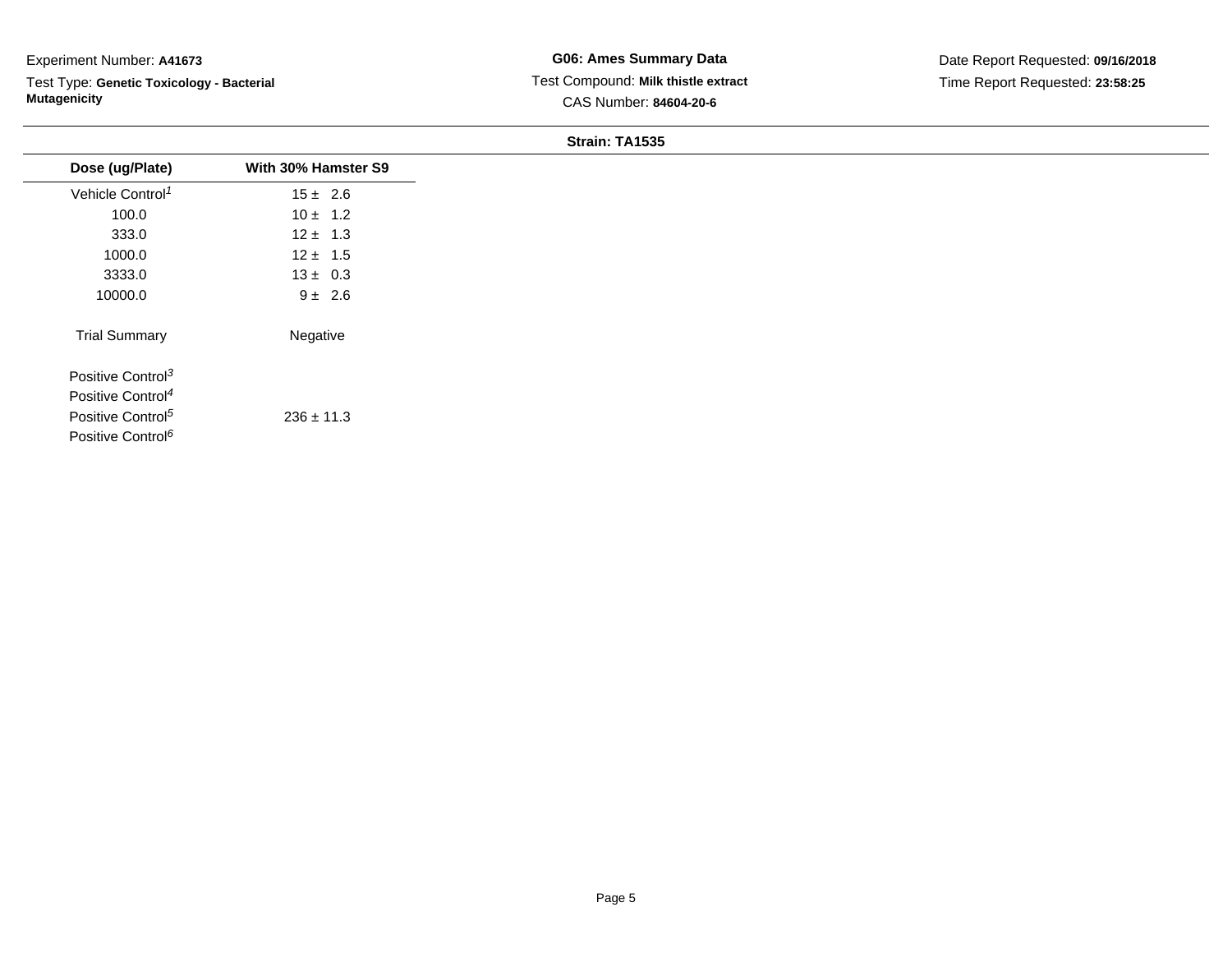Test Type: **Genetic Toxicology - Bacterial Mutagenicity**

| $15 \pm 2.6$   |
|----------------|
|                |
| $10 \pm 1.2$   |
| $12 \pm 1.3$   |
| $12 \pm 1.5$   |
| $13 \pm 0.3$   |
| $9 \pm 2.6$    |
| Negative       |
|                |
|                |
| $236 \pm 11.3$ |
|                |
|                |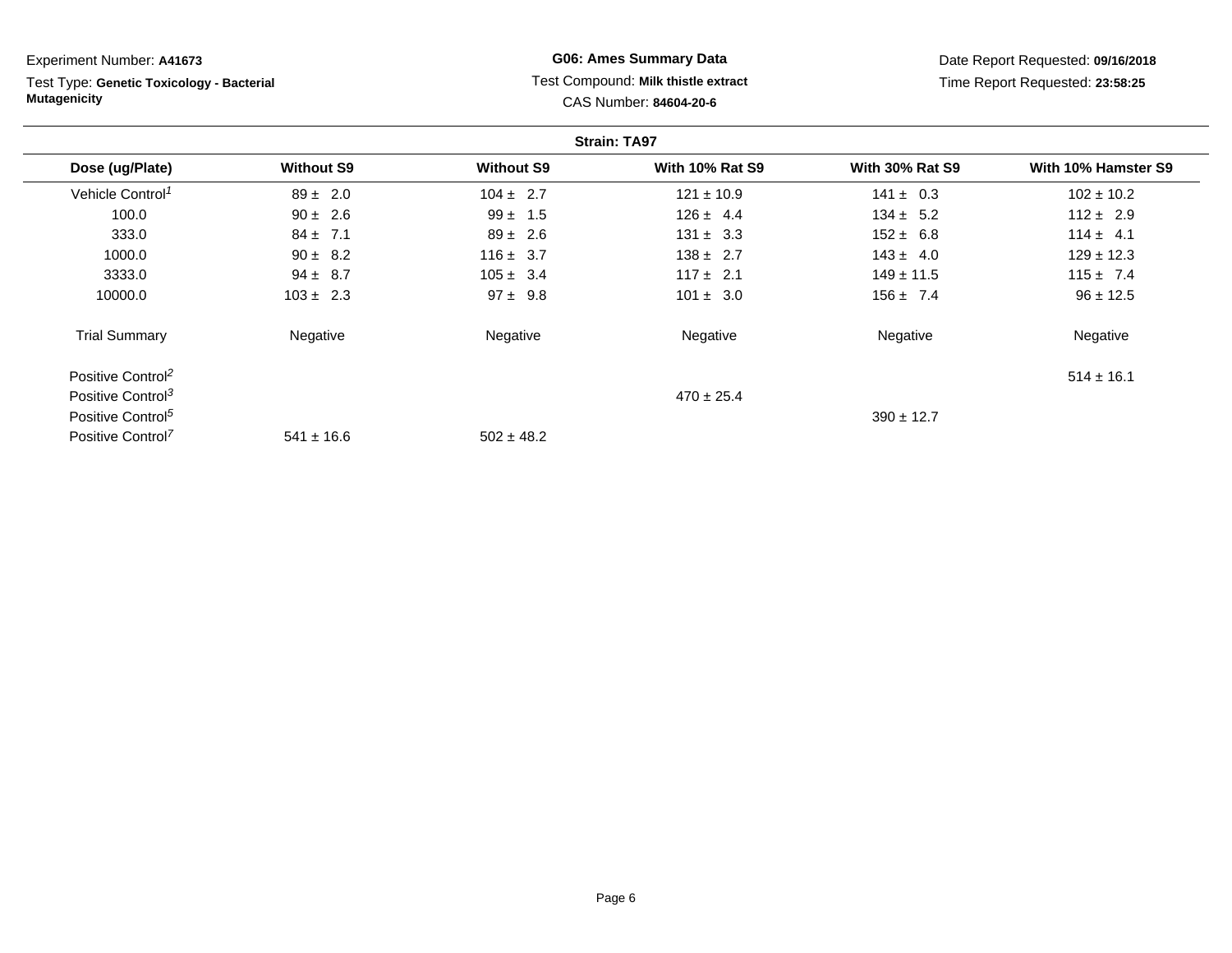| Experiment Number: A41673                                        |                   |                   | <b>G06: Ames Summary Data</b>                                 |                        | Date Report Requested: 09/16/2018 |
|------------------------------------------------------------------|-------------------|-------------------|---------------------------------------------------------------|------------------------|-----------------------------------|
| Test Type: Genetic Toxicology - Bacterial<br><b>Mutagenicity</b> |                   |                   | Test Compound: Milk thistle extract<br>CAS Number: 84604-20-6 |                        | Time Report Requested: 23:58:25   |
|                                                                  |                   |                   | <b>Strain: TA97</b>                                           |                        |                                   |
| Dose (ug/Plate)                                                  | <b>Without S9</b> | <b>Without S9</b> | <b>With 10% Rat S9</b>                                        | <b>With 30% Rat S9</b> | With 10% Hamster S9               |
| Vehicle Control <sup>1</sup>                                     | $89 \pm 2.0$      | $104 \pm 2.7$     | $121 \pm 10.9$                                                | $141 \pm 0.3$          | $102 \pm 10.2$                    |
| 100.0                                                            | $90 \pm 2.6$      | $99 \pm 1.5$      | $126 \pm 4.4$                                                 | $134 \pm 5.2$          | $112 \pm 2.9$                     |
| 333.0                                                            | $84 \pm 7.1$      | $89 \pm 2.6$      | $131 \pm 3.3$                                                 | $152 \pm 6.8$          | $114 \pm 4.1$                     |
| 1000.0                                                           | $90 \pm 8.2$      | $116 \pm 3.7$     | $138 \pm 2.7$                                                 | $143 \pm 4.0$          | $129 \pm 12.3$                    |
| 3333.0                                                           | $94 \pm 8.7$      | $105 \pm 3.4$     | $117 \pm 2.1$                                                 | $149 \pm 11.5$         | $115 \pm 7.4$                     |
| 10000.0                                                          | $103 \pm 2.3$     | $97 \pm 9.8$      | $101 \pm 3.0$                                                 | $156 \pm 7.4$          | $96 \pm 12.5$                     |
| <b>Trial Summary</b>                                             | Negative          | Negative          | Negative                                                      | Negative               | Negative                          |
| Positive Control <sup>2</sup>                                    |                   |                   |                                                               |                        | $514 \pm 16.1$                    |
| Positive Control <sup>3</sup>                                    |                   |                   | $470 \pm 25.4$                                                |                        |                                   |
| Positive Control <sup>5</sup>                                    |                   |                   |                                                               | $390 \pm 12.7$         |                                   |
| Positive Control <sup>7</sup>                                    | $541 \pm 16.6$    | $502 \pm 48.2$    |                                                               |                        |                                   |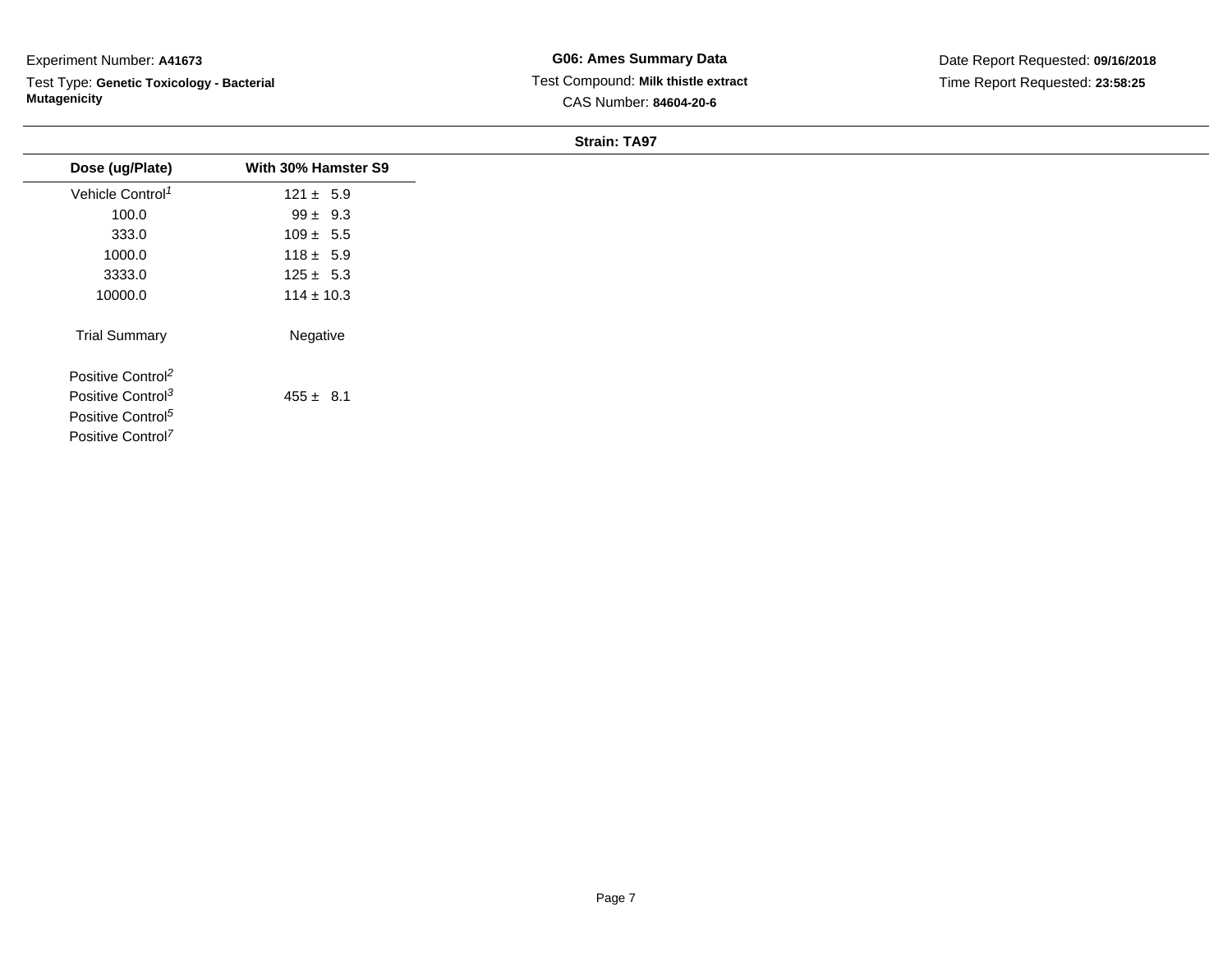Test Type: **Genetic Toxicology - Bacterial Mutagenicity**

**G06: Ames Summary Data** Test Compound: **Milk thistle extract**CAS Number: **84604-20-6**

Date Report Requested: **09/16/2018**Time Report Requested: **23:58:25**

| Dose (ug/Plate)               | With 30% Hamster S9 |
|-------------------------------|---------------------|
| Vehicle Control <sup>1</sup>  | $121 \pm 5.9$       |
| 100.0                         | $99 \pm 9.3$        |
| 333.0                         | $109 \pm 5.5$       |
| 1000.0                        | $118 \pm 5.9$       |
| 3333.0                        | $125 \pm 5.3$       |
| 10000.0                       | $114 \pm 10.3$      |
| <b>Trial Summary</b>          | Negative            |
| Positive Control <sup>2</sup> |                     |
| Positive Control <sup>3</sup> | $455 \pm 8.1$       |
| Positive Control <sup>5</sup> |                     |
| Positive Control <sup>7</sup> |                     |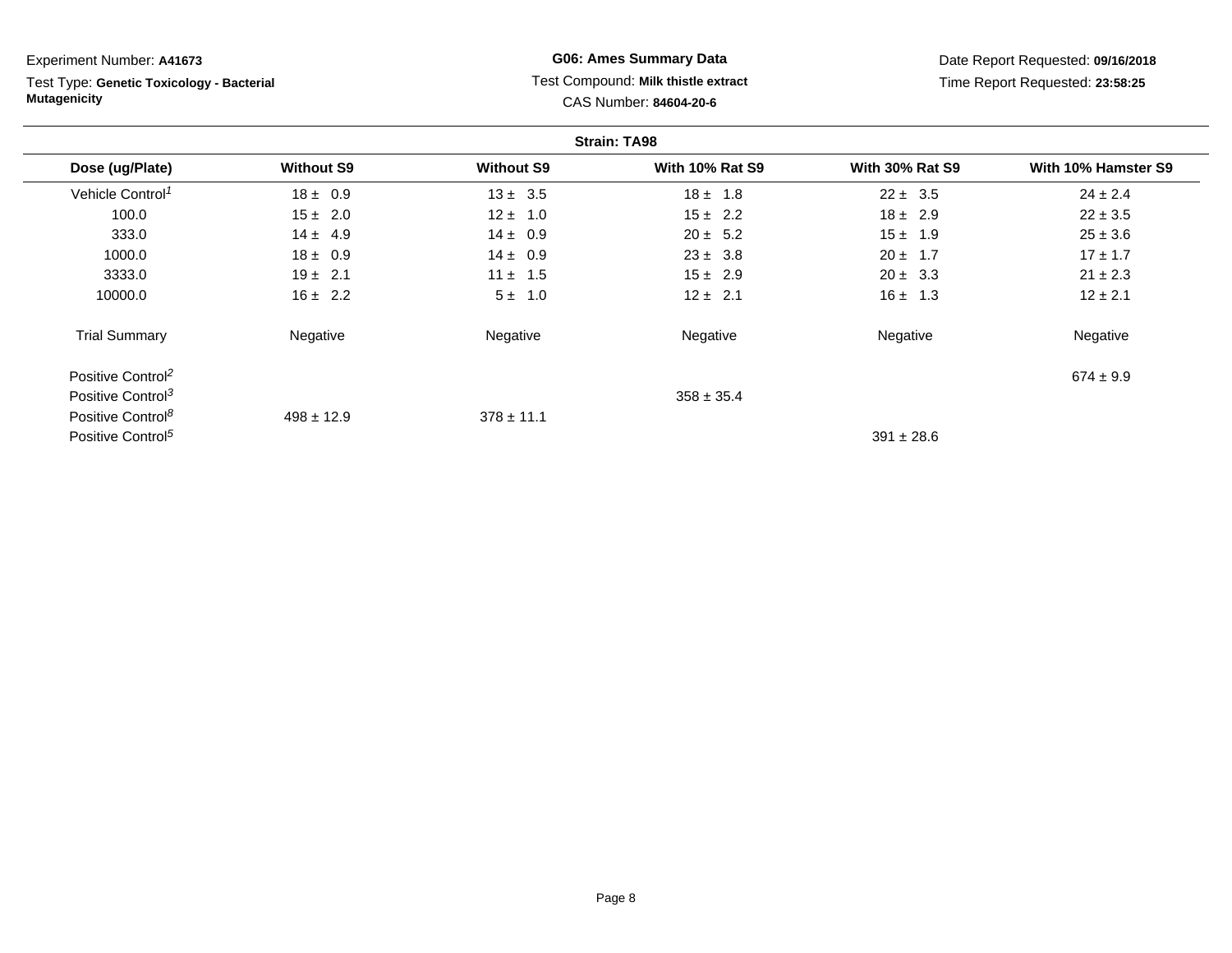Test Type: **Genetic Toxicology - Bacterial Mutagenicity**

**G06: Ames Summary Data** Test Compound: **Milk thistle extract**CAS Number: **84604-20-6**

Date Report Requested: **09/16/2018**Time Report Requested: **23:58:25**

|                               |                   |                   | <b>Strain: TA98</b>    |                        |                     |
|-------------------------------|-------------------|-------------------|------------------------|------------------------|---------------------|
| Dose (ug/Plate)               | <b>Without S9</b> | <b>Without S9</b> | <b>With 10% Rat S9</b> | <b>With 30% Rat S9</b> | With 10% Hamster S9 |
| Vehicle Control <sup>1</sup>  | $18 \pm 0.9$      | $13 \pm 3.5$      | $18 \pm 1.8$           | $22 \pm 3.5$           | $24 \pm 2.4$        |
| 100.0                         | $15 \pm 2.0$      | $12 \pm 1.0$      | $15 \pm 2.2$           | $18 \pm 2.9$           | $22 \pm 3.5$        |
| 333.0                         | $14 \pm 4.9$      | $14 \pm 0.9$      | $20 \pm 5.2$           | $15 \pm 1.9$           | $25 \pm 3.6$        |
| 1000.0                        | $18 \pm 0.9$      | $14 \pm 0.9$      | $23 \pm 3.8$           | $20 \pm 1.7$           | $17 \pm 1.7$        |
| 3333.0                        | $19 \pm 2.1$      | $11 \pm 1.5$      | $15 \pm 2.9$           | $20 \pm 3.3$           | $21 \pm 2.3$        |
| 10000.0                       | $16 \pm 2.2$      | $5 \pm 1.0$       | $12 \pm 2.1$           | $16 \pm 1.3$           | $12 \pm 2.1$        |
| <b>Trial Summary</b>          | Negative          | Negative          | Negative               | Negative               | Negative            |
| Positive Control <sup>2</sup> |                   |                   |                        |                        | $674 \pm 9.9$       |
| Positive Control <sup>3</sup> |                   |                   | $358 \pm 35.4$         |                        |                     |
| Positive Control <sup>8</sup> | $498 \pm 12.9$    | $378 \pm 11.1$    |                        |                        |                     |
| Positive Control <sup>5</sup> |                   |                   |                        | $391 \pm 28.6$         |                     |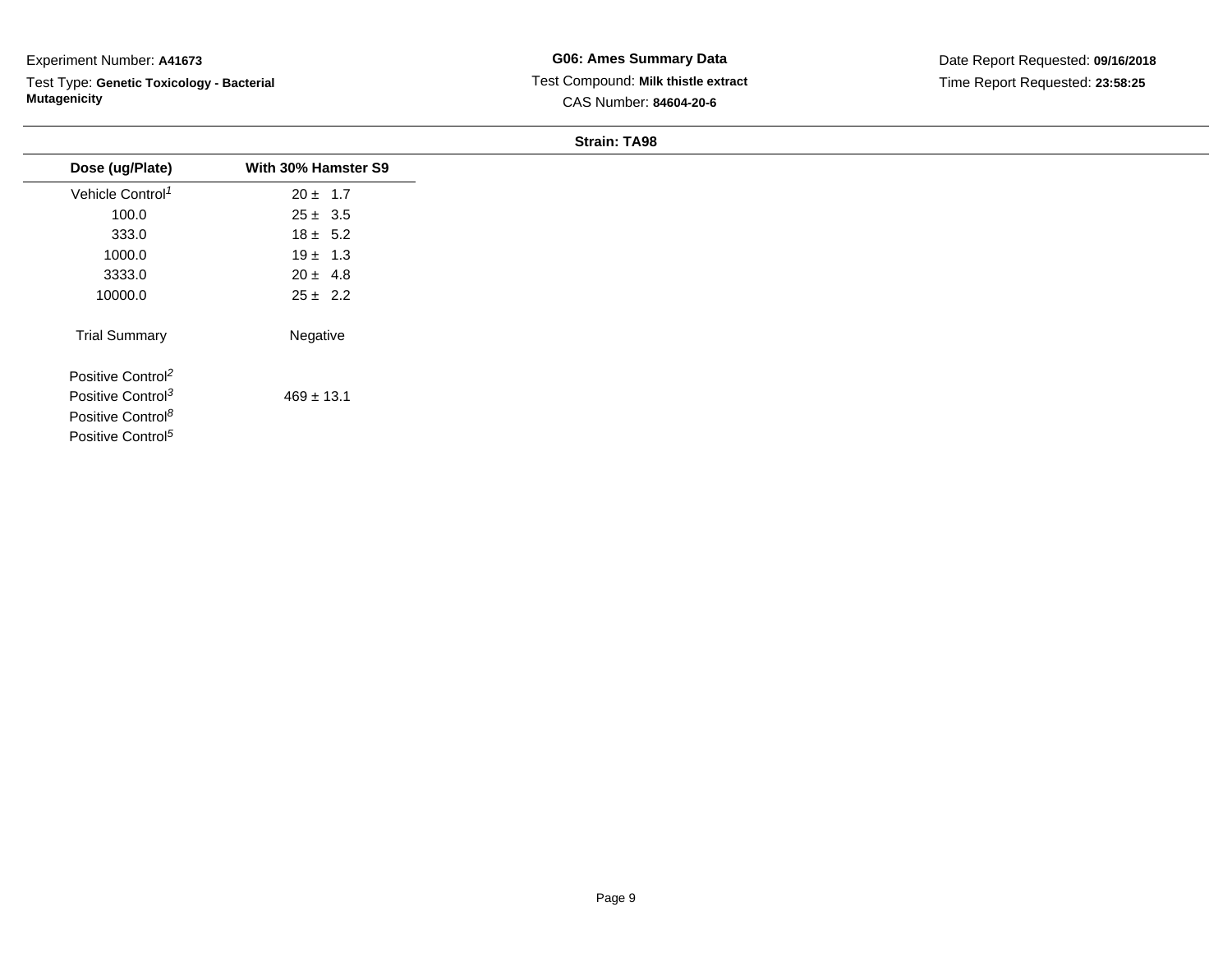Test Type: **Genetic Toxicology - Bacterial Mutagenicity**

**G06: Ames Summary Data** Test Compound: **Milk thistle extract**CAS Number: **84604-20-6**

Date Report Requested: **09/16/2018**Time Report Requested: **23:58:25**

| Dose (ug/Plate)               | With 30% Hamster S9 |
|-------------------------------|---------------------|
|                               |                     |
| Vehicle Control <sup>1</sup>  | $20 \pm 1.7$        |
| 100.0                         | $25 \pm 3.5$        |
| 333.0                         | $18 \pm 5.2$        |
| 1000.0                        | $19 \pm 1.3$        |
| 3333.0                        | $20 \pm 4.8$        |
| 10000.0                       | $25 \pm 2.2$        |
| <b>Trial Summary</b>          | Negative            |
| Positive Control <sup>2</sup> |                     |
| Positive Control <sup>3</sup> | $469 \pm 13.1$      |
| Positive Control <sup>8</sup> |                     |
| Positive Control <sup>5</sup> |                     |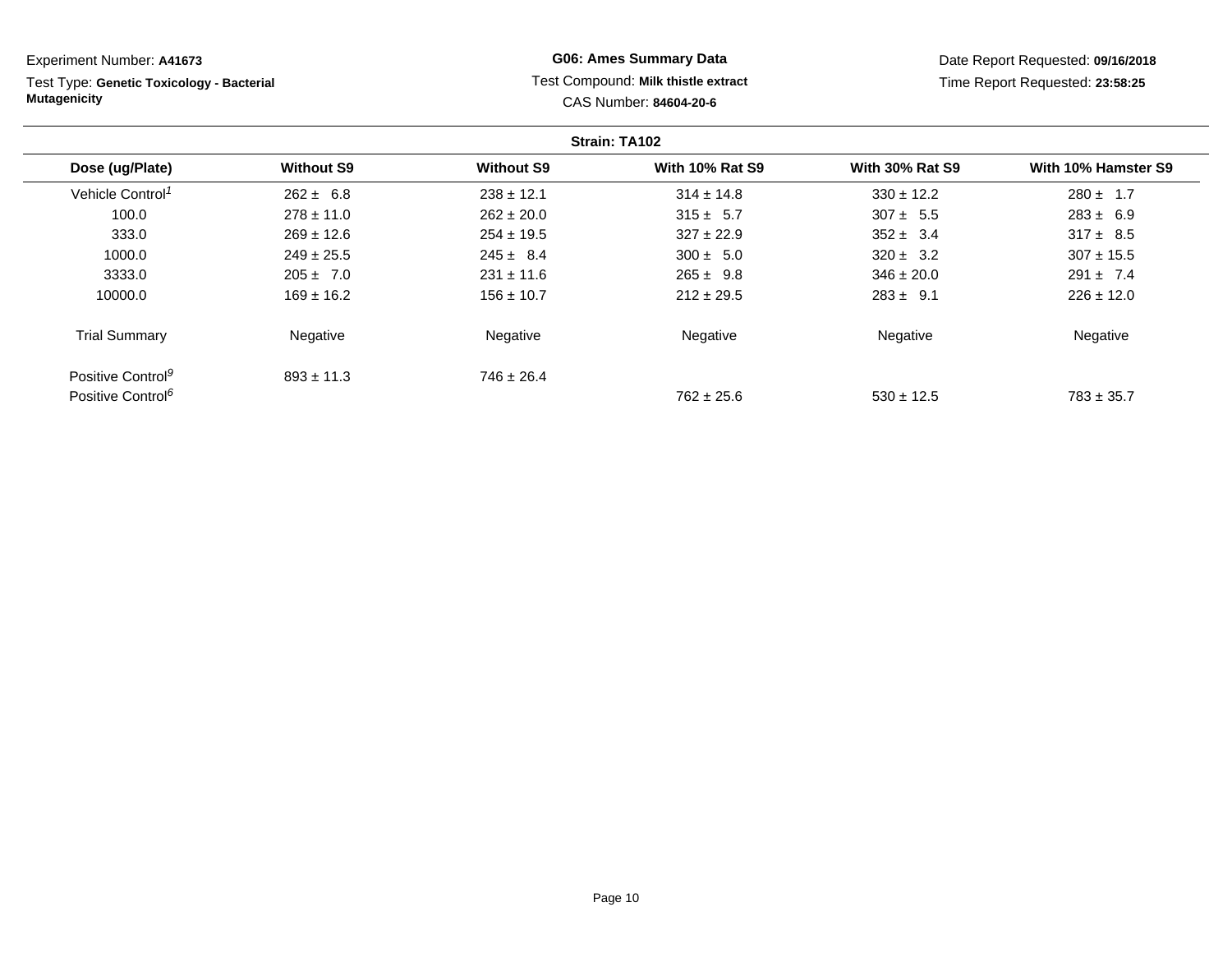**Strain: TA102Dose (ug/Plate) Without S9 Without S9 With 10% Rat S9 With 30% Rat S9 With 10% Hamster S9** Vehicle Control<sup>1</sup>  $262 \pm 6.8$ 8  $238 \pm 12.1$   $314 \pm 14.8$   $330 \pm 12.2$   $280 \pm 1.7$ 100.00 278 ± 11.0 262 ± 20.0 315 ± 5.7 307 ± 5.5 283 ± 6.9 333.00  $269 \pm 12.6$   $254 \pm 19.5$   $327 \pm 22.9$   $352 \pm 3.4$   $317 \pm 8.5$ 1000.00  $249 \pm 25.5$   $245 \pm 8.4$   $300 \pm 5.0$   $320 \pm 3.2$   $307 \pm 15.5$ 3333.00  $205 \pm 7.0$  231  $\pm 11.6$  265  $\pm 9.8$  346  $\pm 20.0$  291  $\pm 7.4$ 10000.00 169 ± 16.2 156 ± 10.7 212 ± 29.5 283 ± 9.1 226 ± 12.0 Trial Summary NegativeExperiment Number: **A41673**Test Type: **Genetic Toxicology - BacterialMutagenicityG06: Ames Summary Data** Test Compound: **Milk thistle extract**CAS Number: **84604-20-6**Date Report Requested: **09/16/2018**Time Report Requested: **23:58:25**

Positive Control<sup>9</sup> Positive Control<sup>6</sup>

 $893 \pm 11.3$ 

 $746 \pm 26.4$ 

e **Negative Regative** Negative Negative Negative Regative Negative

 $762 \pm 25.6$ 

 $530 \pm 12.5$  783 ± 35.7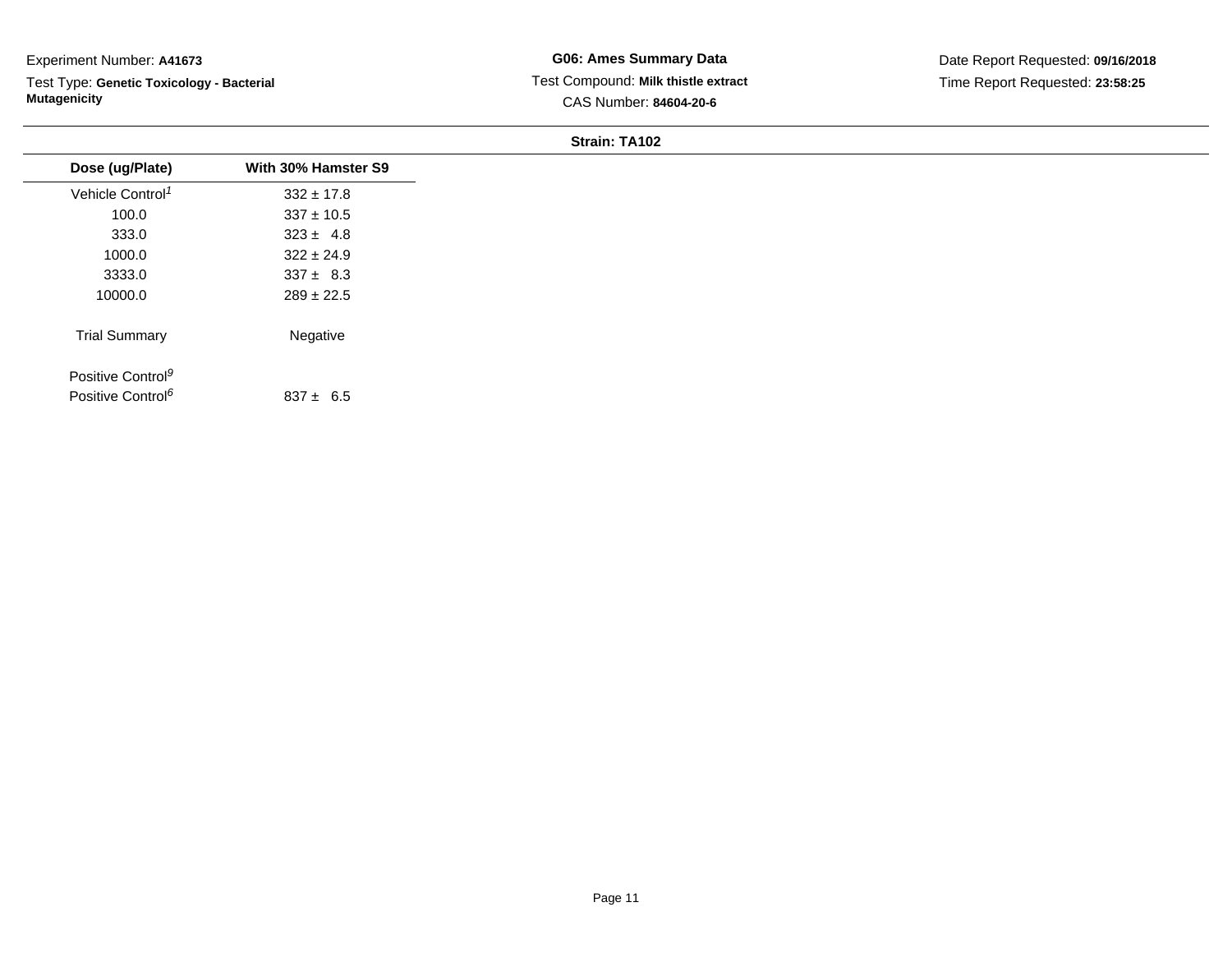Test Type: **Genetic Toxicology - Bacterial Mutagenicity**

**G06: Ames Summary Data** Test Compound: **Milk thistle extract**CAS Number: **84604-20-6**

| Dose (ug/Plate)               | With 30% Hamster S9 |
|-------------------------------|---------------------|
| Vehicle Control <sup>1</sup>  | $332 \pm 17.8$      |
| 100.0                         | $337 \pm 10.5$      |
| 333.0                         | $323 \pm 4.8$       |
| 1000.0                        | $322 \pm 24.9$      |
| 3333.0                        | $337 \pm 8.3$       |
| 10000.0                       | $289 \pm 22.5$      |
| <b>Trial Summary</b>          | Negative            |
| Positive Control <sup>9</sup> |                     |
| Positive Control <sup>6</sup> | $837 \pm 6.5$       |
|                               |                     |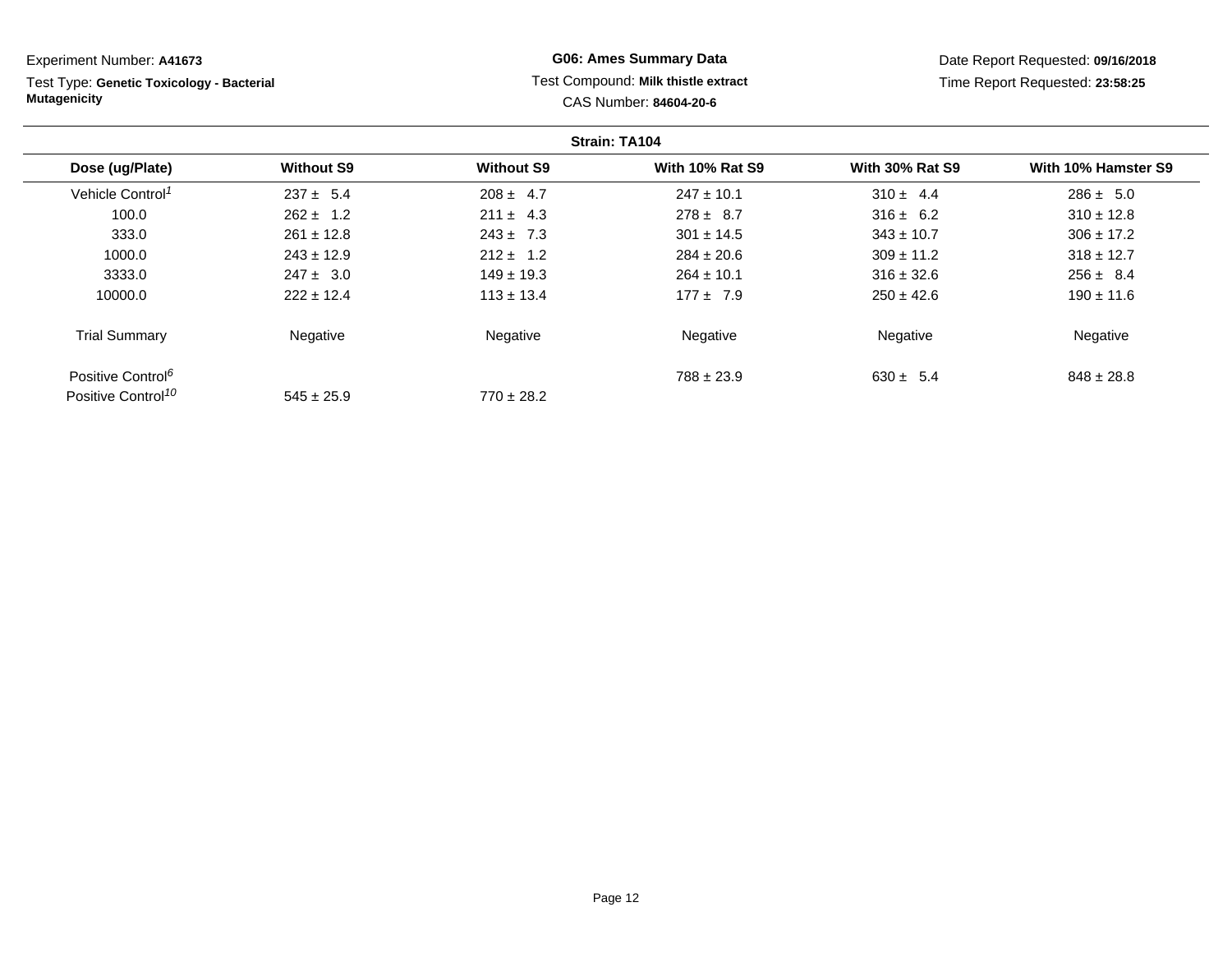Test Type: **Genetic Toxicology - Bacterial Mutagenicity**

# **G06: Ames Summary Data** Test Compound: **Milk thistle extract**CAS Number: **84604-20-6**

Date Report Requested: **09/16/2018**Time Report Requested: **23:58:25**

|                                |                   |                   | <b>Strain: TA104</b>   |                        |                     |
|--------------------------------|-------------------|-------------------|------------------------|------------------------|---------------------|
| Dose (ug/Plate)                | <b>Without S9</b> | <b>Without S9</b> | <b>With 10% Rat S9</b> | <b>With 30% Rat S9</b> | With 10% Hamster S9 |
| Vehicle Control <sup>1</sup>   | $237 \pm 5.4$     | $208 \pm 4.7$     | $247 \pm 10.1$         | $310 \pm 4.4$          | $286 \pm 5.0$       |
| 100.0                          | $262 \pm 1.2$     | $211 \pm 4.3$     | $278 \pm 8.7$          | $316 \pm 6.2$          | $310 \pm 12.8$      |
| 333.0                          | $261 \pm 12.8$    | $243 \pm 7.3$     | $301 \pm 14.5$         | $343 \pm 10.7$         | $306 \pm 17.2$      |
| 1000.0                         | $243 \pm 12.9$    | $212 \pm 1.2$     | $284 \pm 20.6$         | $309 \pm 11.2$         | $318 \pm 12.7$      |
| 3333.0                         | $247 \pm 3.0$     | $149 \pm 19.3$    | $264 \pm 10.1$         | $316 \pm 32.6$         | $256 \pm 8.4$       |
| 10000.0                        | $222 \pm 12.4$    | $113 \pm 13.4$    | $177 \pm 7.9$          | $250 \pm 42.6$         | $190 \pm 11.6$      |
| <b>Trial Summary</b>           | Negative          | Negative          | Negative               | Negative               | Negative            |
| Positive Control <sup>6</sup>  |                   |                   | $788 \pm 23.9$         | $630 \pm 5.4$          | $848 \pm 28.8$      |
| Positive Control <sup>10</sup> | $545 \pm 25.9$    | $770 \pm 28.2$    |                        |                        |                     |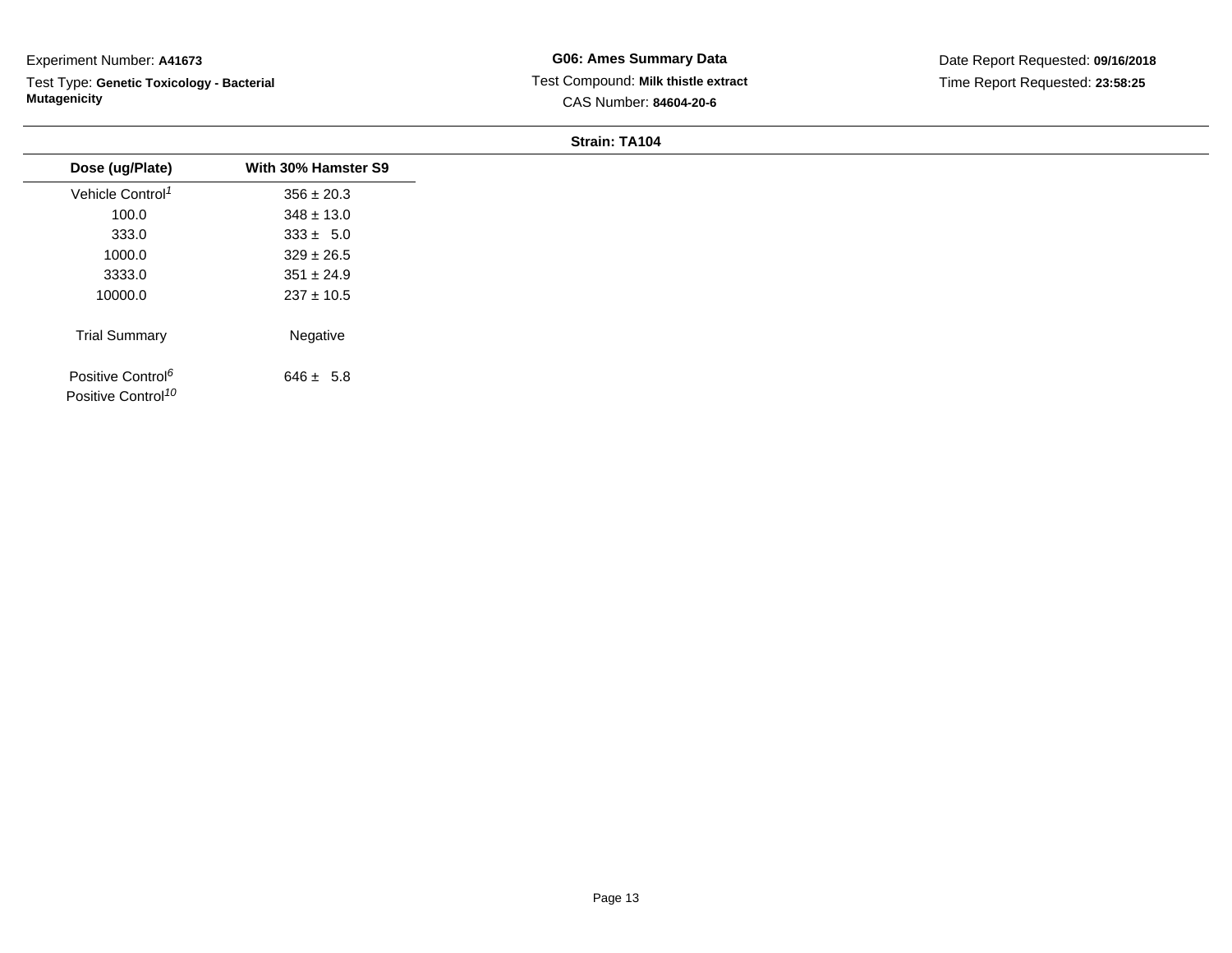Test Type: **Genetic Toxicology - Bacterial Mutagenicity**

| Dose (ug/Plate)                                                 | With 30% Hamster S9 |
|-----------------------------------------------------------------|---------------------|
| Vehicle Control <sup>1</sup>                                    | $356 \pm 20.3$      |
| 100.0                                                           | $348 \pm 13.0$      |
| 333.0                                                           | $333 \pm 5.0$       |
| 1000.0                                                          | $329 \pm 26.5$      |
| 3333.0                                                          | $351 \pm 24.9$      |
| 10000.0                                                         | $237 \pm 10.5$      |
| <b>Trial Summary</b>                                            | Negative            |
| Positive Control <sup>6</sup><br>Positive Control <sup>10</sup> | $646 \pm 5.8$       |